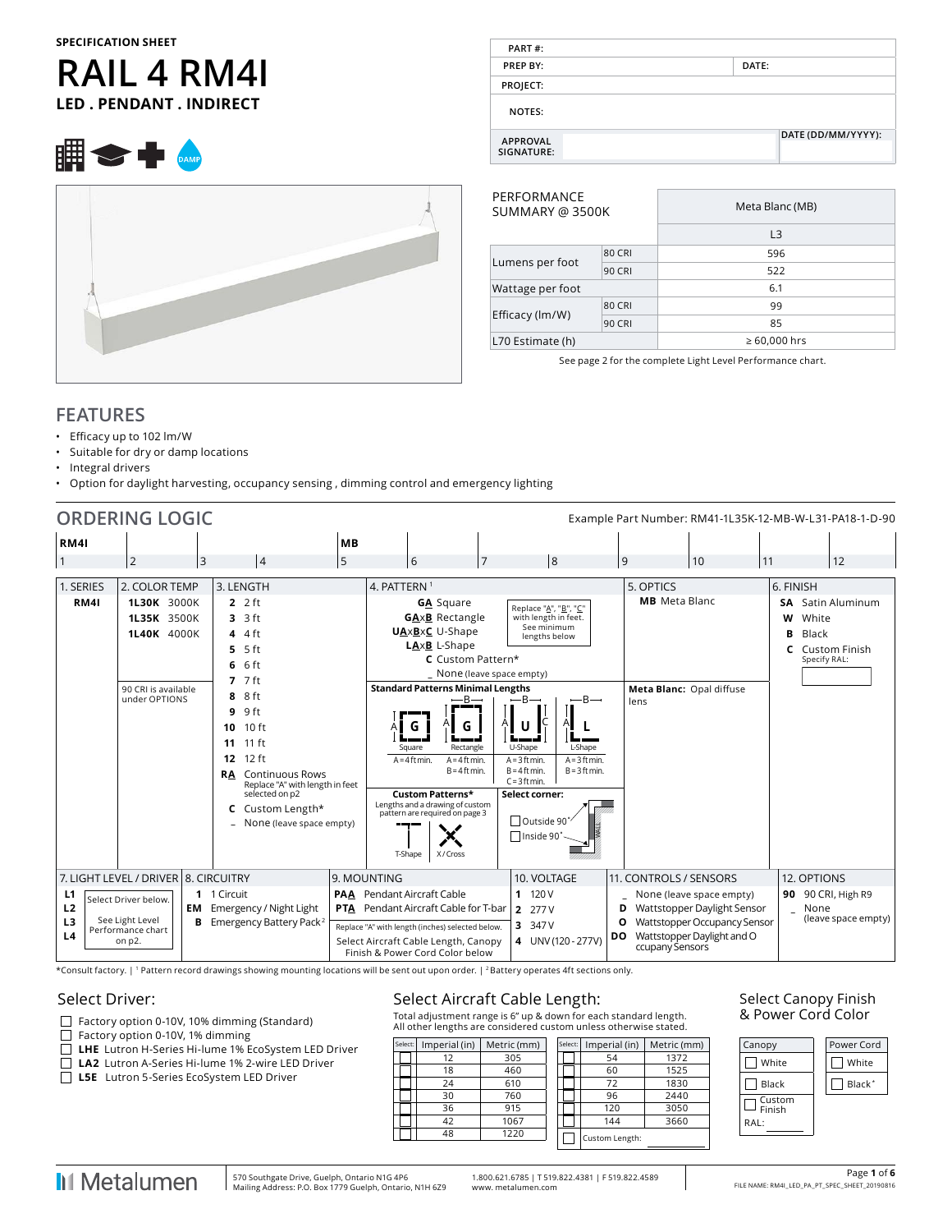#### **SPECIFICATION SHEET**

# **RAIL 4 RM4I LED . PENDANT . INDIRECT**

| PART#:                        |                    |
|-------------------------------|--------------------|
| PREP BY:                      | DATE:              |
| PROJECT:                      |                    |
| <b>NOTES:</b>                 |                    |
| <b>APPROVAL</b><br>SIGNATURE: | DATE (DD/MM/YYYY): |

| PERFORMANCE<br>SUMMARY @ 3500K |               | Meta Blanc (MB)   |
|--------------------------------|---------------|-------------------|
|                                |               | L <sub>3</sub>    |
|                                | <b>80 CRI</b> | 596               |
| Lumens per foot                | <b>90 CRI</b> | 522               |
| Wattage per foot               |               | 6.1               |
|                                | <b>80 CRI</b> | 99                |
| Efficacy (lm/W)                | <b>90 CRI</b> | 85                |
| L70 Estimate (h)               |               | $\geq 60,000$ hrs |
|                                |               |                   |

See page 2 for the complete Light Level Performance chart.

#### **FEATURES**

- Efficacy up to 102 lm/W
- Suitable for dry or damp locations
- Integral drivers
- Option for daylight harvesting, occupancy sensing , dimming control and emergency lighting

|                                                          | <b>ORDERING LOGIC</b>                                                                                          |   |                                                                                                                                                                                                                           |           |                                                                                                                                                                                                                                |                |                                                                                                                                                                                                 |           |                                                          | Example Part Number: RM41-1L35K-12-MB-W-L31-PA18-1-D-90                                                               |                           |                                |                                           |
|----------------------------------------------------------|----------------------------------------------------------------------------------------------------------------|---|---------------------------------------------------------------------------------------------------------------------------------------------------------------------------------------------------------------------------|-----------|--------------------------------------------------------------------------------------------------------------------------------------------------------------------------------------------------------------------------------|----------------|-------------------------------------------------------------------------------------------------------------------------------------------------------------------------------------------------|-----------|----------------------------------------------------------|-----------------------------------------------------------------------------------------------------------------------|---------------------------|--------------------------------|-------------------------------------------|
|                                                          |                                                                                                                |   |                                                                                                                                                                                                                           |           |                                                                                                                                                                                                                                |                |                                                                                                                                                                                                 |           |                                                          |                                                                                                                       |                           |                                |                                           |
| <b>RM41</b>                                              |                                                                                                                |   |                                                                                                                                                                                                                           | <b>MB</b> |                                                                                                                                                                                                                                |                |                                                                                                                                                                                                 |           |                                                          |                                                                                                                       |                           |                                |                                           |
| $\overline{1}$                                           | $\overline{2}$                                                                                                 | 3 | 4                                                                                                                                                                                                                         | 5         | 6                                                                                                                                                                                                                              | $\overline{7}$ | 8                                                                                                                                                                                               |           | 9                                                        | 10                                                                                                                    | 11                        |                                | 12                                        |
| 1. SERIES                                                | 2. COLOR TEMP                                                                                                  |   | 3. LENGTH                                                                                                                                                                                                                 |           | 4. PATTERN <sup>1</sup>                                                                                                                                                                                                        |                |                                                                                                                                                                                                 |           | 5. OPTICS                                                |                                                                                                                       | 6. FINISH                 |                                |                                           |
| <b>RM41</b>                                              | 1L30K 3000K<br>1L35K 3500K<br>1L40K 4000K<br>90 CRI is available<br>under OPTIONS                              |   | $22$ ft<br>$3.3$ ft<br>$44$ ft<br>$5.5$ ft<br>6 ft<br>6<br>$7.7$ ft<br>8 ft                                                                                                                                               |           | <b>GA</b> Square<br><b>GA</b> xB Rectangle<br><b>UAxBxC</b> U-Shape<br>LAxB L-Shape<br>C Custom Pattern*<br>_ None (leave space empty)<br><b>Standard Patterns Minimal Lengths</b><br>$-$ B $-$                                |                | Replace "A", "B", "C"<br>with length in feet.<br>See minimum<br>lengths below<br>$-B-$<br>$-B \rightarrow$                                                                                      |           | <b>MB</b> Meta Blanc<br>Meta Blanc: Opal diffuse<br>lens |                                                                                                                       | <b>SA</b><br>w<br>B<br>C. | White<br>Black<br>Specify RAL: | Satin Aluminum<br>Custom Finish           |
|                                                          |                                                                                                                |   | $9.9$ ft<br>10 <sub>ft</sub><br>10<br>$11 \text{ ft}$<br>11<br>12 ft<br>12<br><b>Continuous Rows</b><br><b>RA</b><br>Replace "A" with length in feet<br>selected on p2<br>Custom Length*<br>C<br>None (leave space empty) |           | G<br>Rectangle<br>Square<br>$A = 4$ ft min.<br>$A = 4$ ft min.<br>$B = 4$ ft min.<br>Custom Patterns*<br>Lengths and a drawing of custom<br>pattern are required on page 3<br>X/Cross<br>T-Shape                               |                | U<br>U-Shape<br>L-Shape<br>$A = 3$ ft min.<br>$A = 3$ ft min.<br>$B = 4$ ft min.<br>$B = 3$ ft min.<br>$C = 3$ ft min.<br>Select corner:<br><sup>™</sup> Outside 90 <sup>*</sup><br>□Inside 90° |           |                                                          |                                                                                                                       |                           |                                |                                           |
| L1<br>L <sub>2</sub><br>L <sub>3</sub><br>L <sub>4</sub> | 7. LIGHT LEVEL / DRIVER 8. CIRCUITRY<br>Select Driver below.<br>See Light Level<br>Performance chart<br>on p2. |   | 1 1 Circuit<br><b>EM</b> Emergency / Night Light<br><b>B</b> Emergency Battery Pack <sup>2</sup>                                                                                                                          |           | 9. MOUNTING<br><b>PAA</b> Pendant Aircraft Cable<br><b>PTA</b> Pendant Aircraft Cable for T-bar<br>Replace "A" with length (inches) selected below.<br>Select Aircraft Cable Length, Canopy<br>Finish & Power Cord Color below |                | 10. VOLTAGE<br>11120V<br>2 277 V<br>3 347 V<br>4 UNV (120 - 277V)                                                                                                                               | <b>DO</b> | 11. CONTROLS / SENSORS<br>D<br>0<br>ccupany Sensors      | None (leave space empty)<br>Wattstopper Daylight Sensor<br>Wattstopper Occupancy Sensor<br>Wattstopper Daylight and O |                           | 12. OPTIONS<br>None            | 90 90 CRI, High R9<br>(leave space empty) |

\*Consult factory. | 1 Pattern record drawings showing mounting locations will be sent out upon order. | 2 Battery operates 4ft sections only.

#### Select Driver:

- Factory option 0-10V, 10% dimming (Standard)
- Factory option 0-10V, 1% dimming
- **LHE** Lutron H-Series Hi-lume 1% EcoSystem LED Driver
- **LA2** Lutron A-Series Hi-lume 1% 2-wire LED Driver
- **L5E** Lutron 5-Series EcoSystem LED Driver

#### Select Aircraft Cable Length:

Total adjustment range is 6" up & down for each standard length. All other lengths are considered custom unless otherwise stated.

| Select: | Imperial (in) | Metric (mm) | Select: | Imperial (in)  | Metric (mm) |
|---------|---------------|-------------|---------|----------------|-------------|
|         | 12            | 305         |         | 54             | 1372        |
|         | 18            | 460         |         | 60             | 1525        |
|         | 24            | 610         |         | 72             | 1830        |
|         | 30            | 760         |         | 96             | 2440        |
|         | 36            | 915         |         | 120            | 3050        |
|         | 42            | 1067        |         | 144            | 3660        |
|         | 48            | 1220        |         | Custom Length: |             |
|         |               |             |         |                |             |

#### Select Canopy Finish & Power Cord Color



1.800.621.6785 | T 519.822.4381 | F 519.822.4589 www. metalumen.com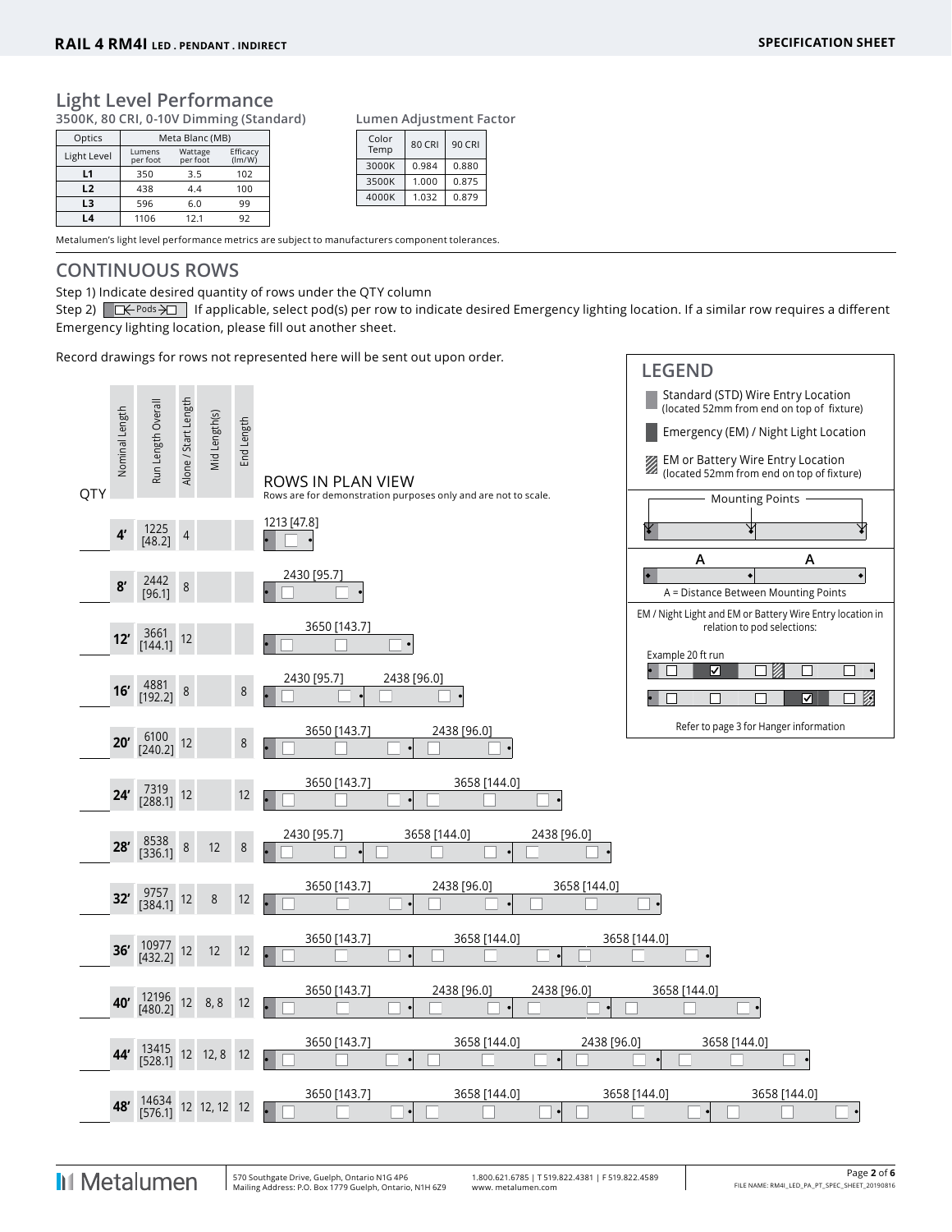#### **Light Level Performance**

**3500K, 80 CRI, 0-10V Dimming (Standard)**

| Optics       |                    | Meta Blanc (MB)     |                    |  |  |  |  |  |  |  |  |
|--------------|--------------------|---------------------|--------------------|--|--|--|--|--|--|--|--|
| Light Level  | Lumens<br>per foot | Wattage<br>per foot | Efficacy<br>(lm/W) |  |  |  |  |  |  |  |  |
| $\mathbf{L}$ | 350                | 3.5                 | 102                |  |  |  |  |  |  |  |  |
| L2           | 438                | 4.4                 | 100                |  |  |  |  |  |  |  |  |
| L3           | 596                | 6.0                 | 99                 |  |  |  |  |  |  |  |  |
| l 4          | 1106               | 12.1                | 92                 |  |  |  |  |  |  |  |  |

**Lumen Adjustment Factor**

| Color<br>Temp | 80 CRI | 90 CRI |
|---------------|--------|--------|
| 3000K         | 0.984  | 0.880  |
| 3500K         | 1.000  | 0.875  |
| 4000K         | 1.032  | 0.879  |

Metalumen's light level performance metrics are subject to manufacturers component tolerances.

## **CONTINUOUS ROWS**

Step 1) Indicate desired quantity of rows under the QTY column

Step 2)  $\Box \leftarrow$  Pods  $\rightarrow \Box$  If applicable, select pod(s) per row to indicate desired Emergency lighting location. If a similar row requires a different Emergency lighting location, please fill out another sheet.

Record drawings for rows not represented here will be sent out upon order.

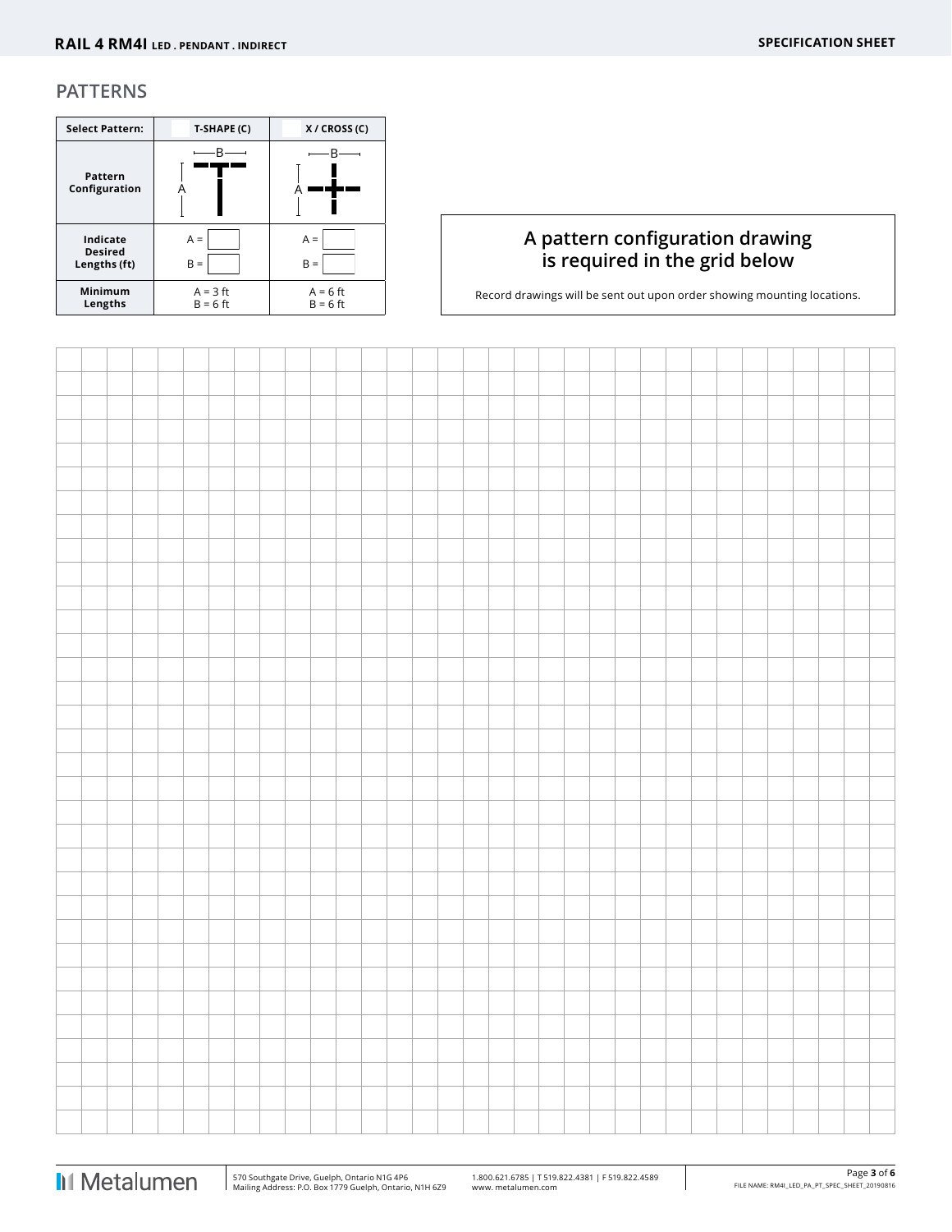#### **PATTERNS**

| <b>Select Pattern:</b>                     | T-SHAPE (C)              | X / CROSS (C)            |
|--------------------------------------------|--------------------------|--------------------------|
| Pattern<br>Configuration                   |                          |                          |
| Indicate<br><b>Desired</b><br>Lengths (ft) | $A =$<br>$B =$           | $A =$<br>$B =$           |
| Minimum<br>Lengths                         | $A = 3$ ft<br>$B = 6$ ft | $A = 6$ ft<br>$B = 6$ ft |

# **A pattern configuration drawing is required in the grid below**

Record drawings will be sent out upon order showing mounting locations.

 $\overline{\phantom{a}}$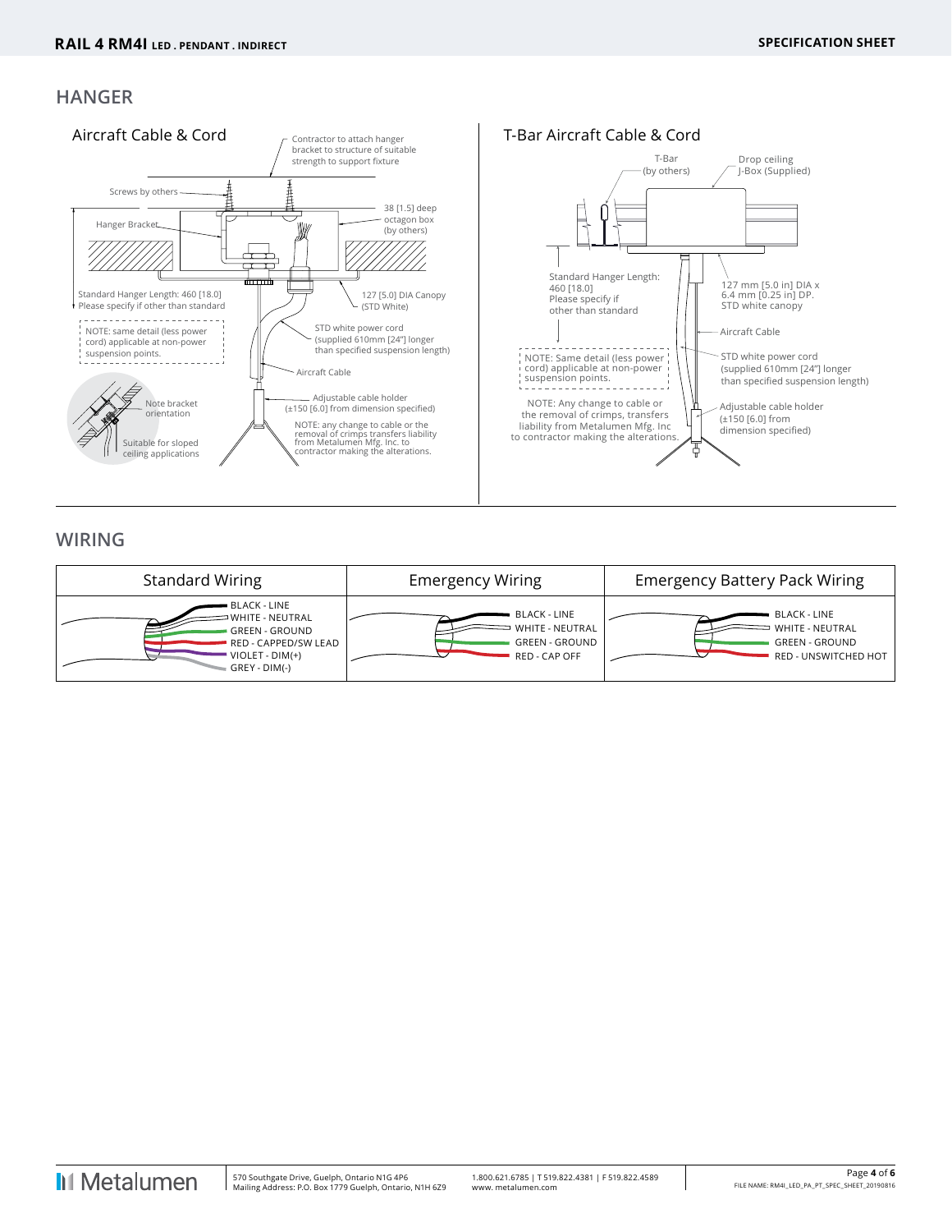## **HANGER**



# **WIRING**

| <b>Standard Wiring</b>                                                                                                 | <b>Emergency Wiring</b>                                                   | <b>Emergency Battery Pack Wiring</b>                                                    |
|------------------------------------------------------------------------------------------------------------------------|---------------------------------------------------------------------------|-----------------------------------------------------------------------------------------|
| BLACK - LINE<br>WHITE - NEUTRAL<br><b>GREEN - GROUND</b><br>RED - CAPPED/SW LEAD<br>$VIOLET - DIM(+)$<br>GREY - DIM(-) | BLACK - LINE<br>WHITE - NEUTRAL<br><b>GREEN - GROUND</b><br>RED - CAP OFF | BLACK - LINE<br>WHITE - NEUTRAL<br><b>GREEN - GROUND</b><br><b>RED - UNSWITCHED HOT</b> |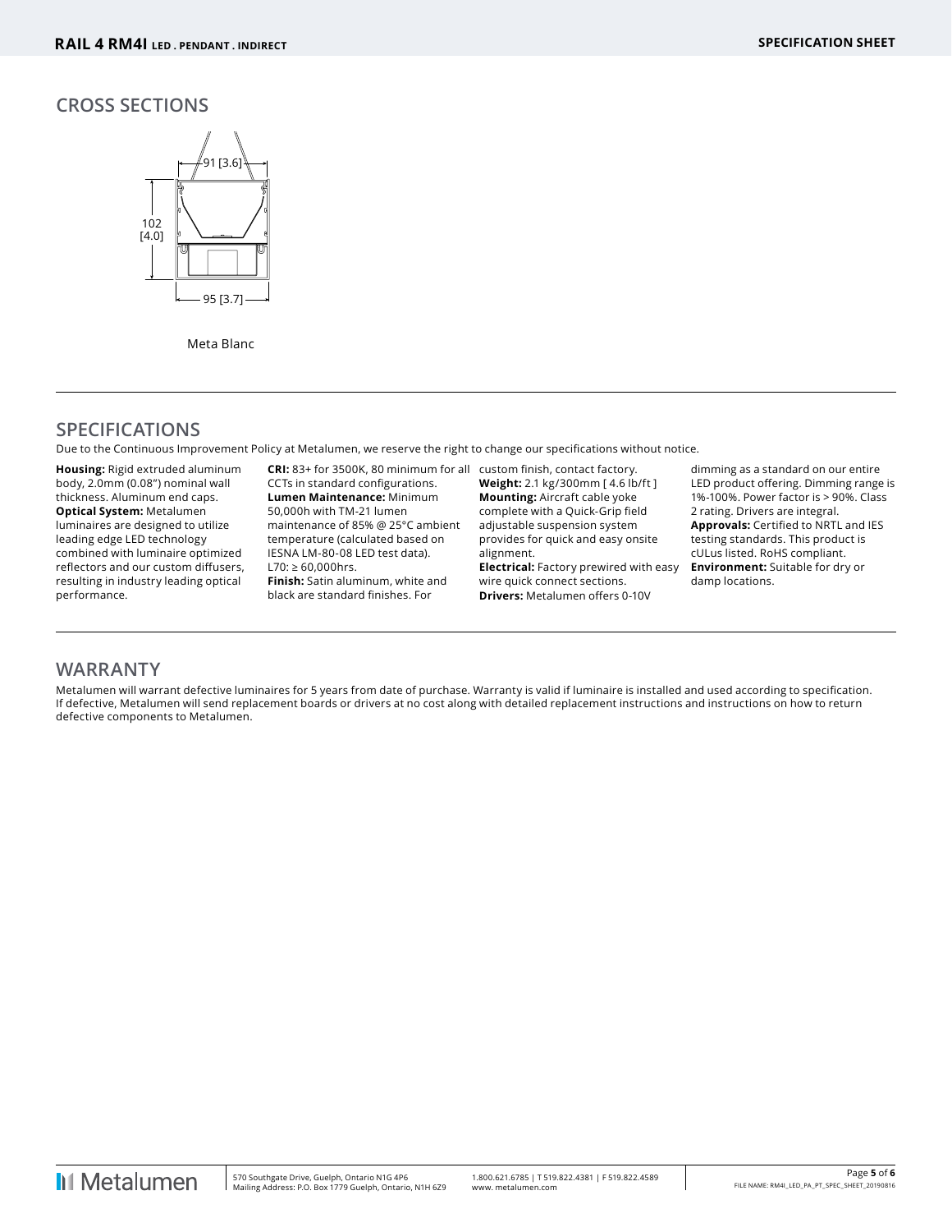### **CROSS SECTIONS**



Meta Blanc

# **SPECIFICATIONS**

Due to the Continuous Improvement Policy at Metalumen, we reserve the right to change our specifications without notice.

**Housing:** Rigid extruded aluminum body, 2.0mm (0.08") nominal wall thickness. Aluminum end caps. **Optical System:** Metalumen luminaires are designed to utilize leading edge LED technology combined with luminaire optimized reflectors and our custom diffusers, resulting in industry leading optical performance.

**CRI:** 83+ for 3500K, 80 minimum for all custom finish, contact factory. CCTs in standard configurations. **Lumen Maintenance:** Minimum 50,000h with TM-21 lumen maintenance of 85% @ 25°C ambient temperature (calculated based on IESNA LM-80-08 LED test data). L70: ≥ 60,000hrs. **Finish:** Satin aluminum, white and black are standard finishes. For

**Weight:** 2.1 kg/300mm [ 4.6 lb/ft ] **Mounting:** Aircraft cable yoke complete with a Quick-Grip field adjustable suspension system provides for quick and easy onsite alignment. **Electrical:** Factory prewired with easy wire quick connect sections. **Drivers:** Metalumen offers 0-10V

dimming as a standard on our entire LED product offering. Dimming range is 1%-100%. Power factor is > 90%. Class 2 rating. Drivers are integral. **Approvals:** Certified to NRTL and IES testing standards. This product is cULus listed. RoHS compliant. **Environment:** Suitable for dry or damp locations.

#### **WARRANTY**

Metalumen will warrant defective luminaires for 5 years from date of purchase. Warranty is valid if luminaire is installed and used according to specification. If defective, Metalumen will send replacement boards or drivers at no cost along with detailed replacement instructions and instructions on how to return defective components to Metalumen.